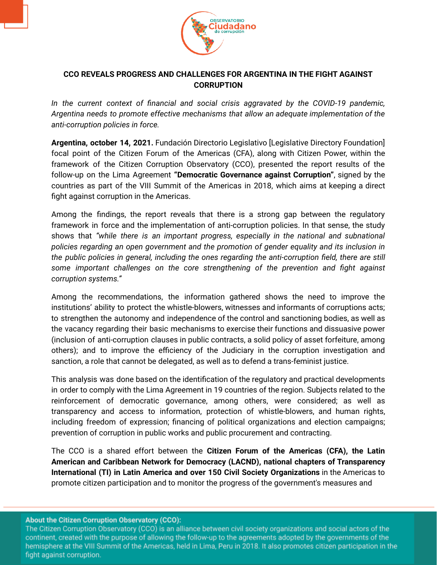

## **CCO REVEALS PROGRESS AND CHALLENGES FOR ARGENTINA IN THE FIGHT AGAINST CORRUPTION**

*In the current context of financial and social crisis aggravated by the COVID-19 pandemic, Argentina needs to promote effective mechanisms that allow an adequate implementation of the anti-corruption policies in force.*

**Argentina, october 14, 2021.** Fundación Directorio Legislativo [Legislative Directory Foundation] focal point of the Citizen Forum of the Americas (CFA), along with Citizen Power, within the framework of the Citizen Corruption Observatory (CCO), presented the report results of the follow-up on the Lima Agreement **"Democratic Governance against Corruption"**, signed by the countries as part of the VIII Summit of the Americas in 2018, which aims at keeping a direct fight against corruption in the Americas.

Among the findings, the report reveals that there is a strong gap between the regulatory framework in force and the implementation of anti-corruption policies. In that sense, the study shows that *"while there is an important progress, especially in the national and subnational policies regarding an open government and the promotion of gender equality and its inclusion in the public policies in general, including the ones regarding the anti-corruption field, there are still some important challenges on the core strengthening of the prevention and fight against corruption systems."*

Among the recommendations, the information gathered shows the need to improve the institutions' ability to protect the whistle-blowers, witnesses and informants of corruptions acts; to strengthen the autonomy and independence of the control and sanctioning bodies, as well as the vacancy regarding their basic mechanisms to exercise their functions and dissuasive power (inclusion of anti-corruption clauses in public contracts, a solid policy of asset forfeiture, among others); and to improve the efficiency of the Judiciary in the corruption investigation and sanction, a role that cannot be delegated, as well as to defend a trans-feminist justice.

This analysis was done based on the identification of the regulatory and practical developments in order to comply with the Lima Agreement in 19 countries of the region. Subjects related to the reinforcement of democratic governance, among others, were considered; as well as transparency and access to information, protection of whistle-blowers, and human rights, including freedom of expression; financing of political organizations and election campaigns; prevention of corruption in public works and public procurement and contracting.

The CCO is a shared effort between the **Citizen Forum of the Americas (CFA), the Latin American and Caribbean Network for Democracy (LACND), national chapters of Transparency International (TI) in Latin America and over 150 Civil Society Organizations** in the Americas to promote citizen participation and to monitor the progress of the government's measures and

About the Citizen Corruption Observatory (CCO):

The Citizen Corruption Observatory (CCO) is an alliance between civil society organizations and social actors of the continent, created with the purpose of allowing the follow-up to the agreements adopted by the governments of the hemisphere at the VIII Summit of the Americas, held in Lima, Peru in 2018. It also promotes citizen participation in the fight against corruption.